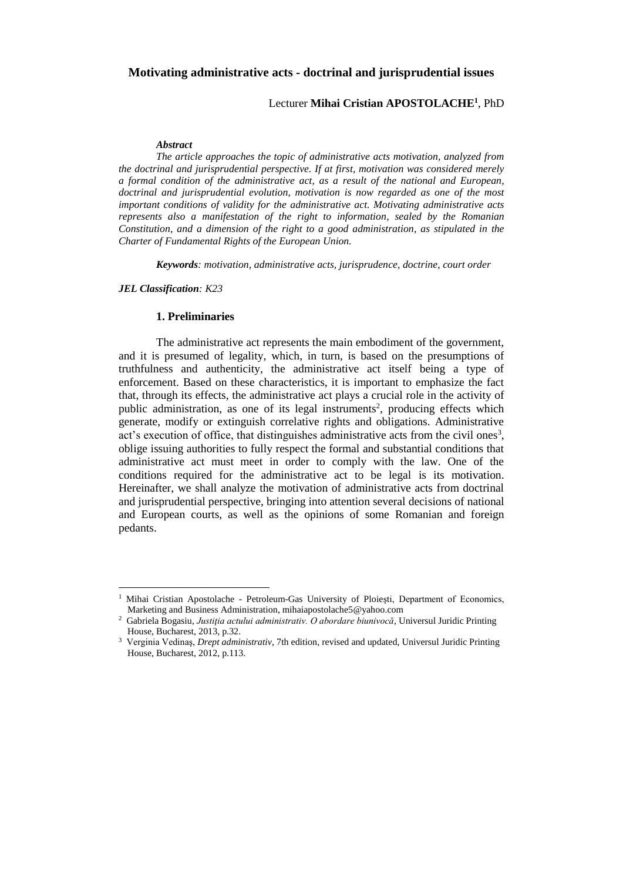## **Motivating administrative acts - doctrinal and jurisprudential issues**

# Lecturer **Mihai Cristian APOSTOLACHE<sup>1</sup>** , PhD

#### *Abstract*

*The article approaches the topic of administrative acts motivation, analyzed from the doctrinal and jurisprudential perspective. If at first, motivation was considered merely a formal condition of the administrative act, as a result of the national and European, doctrinal and jurisprudential evolution, motivation is now regarded as one of the most important conditions of validity for the administrative act. Motivating administrative acts represents also a manifestation of the right to information, sealed by the Romanian Constitution, and a dimension of the right to a good administration, as stipulated in the Charter of Fundamental Rights of the European Union.*

*Keywords: motivation, administrative acts, jurisprudence, doctrine, court order*

#### *JEL Classification: K23*

 $\overline{a}$ 

## **1. Preliminaries**

The administrative act represents the main embodiment of the government, and it is presumed of legality, which, in turn, is based on the presumptions of truthfulness and authenticity, the administrative act itself being a type of enforcement. Based on these characteristics, it is important to emphasize the fact that, through its effects, the administrative act plays a crucial role in the activity of public administration, as one of its legal instruments<sup>2</sup>, producing effects which generate, modify or extinguish correlative rights and obligations. Administrative act's execution of office, that distinguishes administrative acts from the civil ones<sup>3</sup>, oblige issuing authorities to fully respect the formal and substantial conditions that administrative act must meet in order to comply with the law. One of the conditions required for the administrative act to be legal is its motivation. Hereinafter, we shall analyze the motivation of administrative acts from doctrinal and jurisprudential perspective, bringing into attention several decisions of national and European courts, as well as the opinions of some Romanian and foreign pedants.

<sup>&</sup>lt;sup>1</sup> Mihai Cristian Apostolache - Petroleum-Gas University of Ploiești, Department of Economics, Marketing and Business Administration, mihaiapostolache5@yahoo.com

<sup>2</sup> Gabriela Bogasiu, *Justiţia actului administrativ. O abordare biunivocă*, Universul Juridic Printing House, Bucharest, 2013, p.32.

<sup>3</sup> Verginia Vedinaş, *Drept administrativ*, 7th edition, revised and updated, Universul Juridic Printing House, Bucharest, 2012, p.113.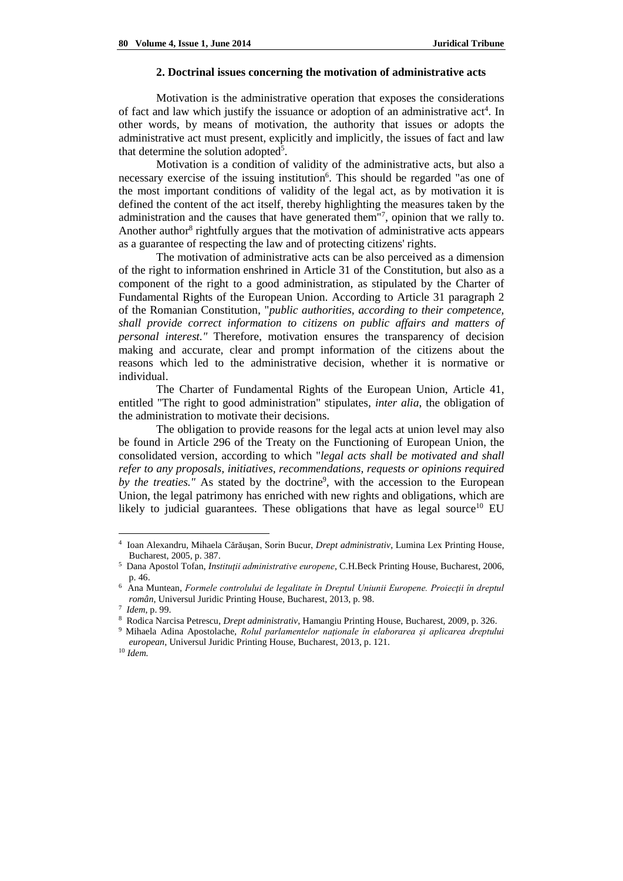#### **2. Doctrinal issues concerning the motivation of administrative acts**

Motivation is the administrative operation that exposes the considerations of fact and law which justify the issuance or adoption of an administrative act<sup>4</sup>. In other words, by means of motivation, the authority that issues or adopts the administrative act must present, explicitly and implicitly, the issues of fact and law that determine the solution adopted<sup>5</sup>.

Motivation is a condition of validity of the administrative acts, but also a necessary exercise of the issuing institution<sup>6</sup>. This should be regarded "as one of the most important conditions of validity of the legal act, as by motivation it is defined the content of the act itself, thereby highlighting the measures taken by the administration and the causes that have generated them"<sup>7</sup>, opinion that we rally to. Another author<sup>8</sup> rightfully argues that the motivation of administrative acts appears as a guarantee of respecting the law and of protecting citizens' rights.

The motivation of administrative acts can be also perceived as a dimension of the right to information enshrined in Article 31 of the Constitution, but also as a component of the right to a good administration, as stipulated by the Charter of Fundamental Rights of the European Union. According to Article 31 paragraph 2 of the Romanian Constitution, "*public authorities, according to their competence, shall provide correct information to citizens on public affairs and matters of personal interest."* Therefore, motivation ensures the transparency of decision making and accurate, clear and prompt information of the citizens about the reasons which led to the administrative decision, whether it is normative or individual.

The Charter of Fundamental Rights of the European Union, Article 41, entitled "The right to good administration" stipulates, *inter alia*, the obligation of the administration to motivate their decisions.

The obligation to provide reasons for the legal acts at union level may also be found in Article 296 of the Treaty on the Functioning of European Union, the consolidated version, according to which "*legal acts shall be motivated and shall refer to any proposals, initiatives, recommendations, requests or opinions required*  by the treaties." As stated by the doctrine<sup>9</sup>, with the accession to the European Union, the legal patrimony has enriched with new rights and obligations, which are likely to judicial guarantees. These obligations that have as legal source<sup>10</sup> EU

<sup>4</sup> Ioan Alexandru, Mihaela Cărăuşan, Sorin Bucur, *Drept administrativ*, Lumina Lex Printing House, Bucharest, 2005, p. 387.

<sup>5</sup> Dana Apostol Tofan, *Instituţii administrative europene*, C.H.Beck Printing House, Bucharest, 2006, p. 46.

<sup>6</sup> Ana Muntean, *Formele controlului de legalitate în Dreptul Uniunii Europene. Proiecţii în dreptul român*, Universul Juridic Printing House, Bucharest, 2013, p. 98.

<sup>7</sup> *Idem*, p. 99.

<sup>8</sup> Rodica Narcisa Petrescu, *Drept administrativ*, Hamangiu Printing House, Bucharest, 2009, p. 326. <sup>9</sup> Mihaela Adina Apostolache, *Rolul parlamentelor naţionale în elaborarea şi aplicarea dreptului* 

*european*, Universul Juridic Printing House, Bucharest, 2013, p. 121.

<sup>10</sup> *Idem.*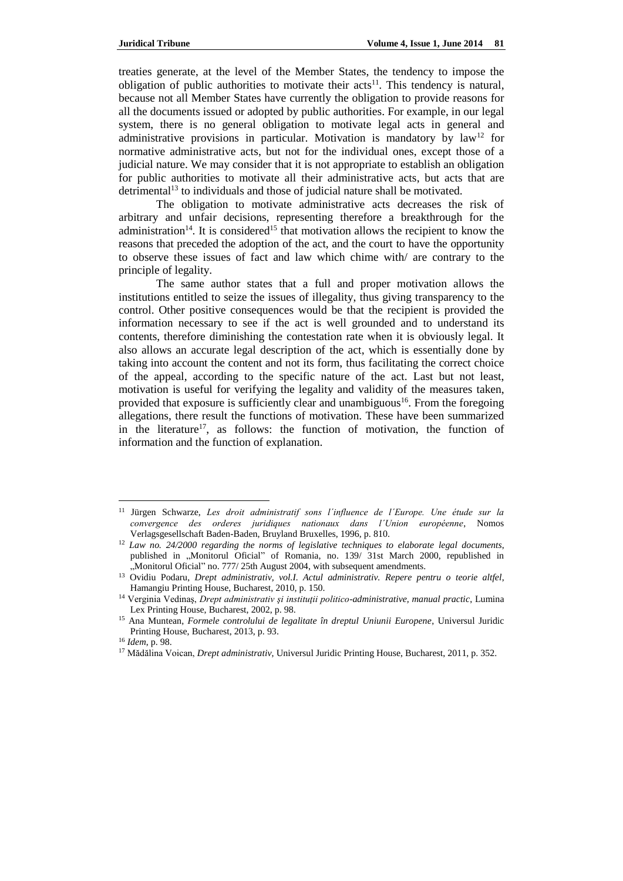treaties generate, at the level of the Member States, the tendency to impose the obligation of public authorities to motivate their  $\arctan s^{11}$ . This tendency is natural, because not all Member States have currently the obligation to provide reasons for all the documents issued or adopted by public authorities. For example, in our legal system, there is no general obligation to motivate legal acts in general and administrative provisions in particular. Motivation is mandatory by  $law<sup>12</sup>$  for normative administrative acts, but not for the individual ones, except those of a judicial nature. We may consider that it is not appropriate to establish an obligation for public authorities to motivate all their administrative acts, but acts that are detrimental<sup>13</sup> to individuals and those of judicial nature shall be motivated.

The obligation to motivate administrative acts decreases the risk of arbitrary and unfair decisions, representing therefore a breakthrough for the administration<sup>14</sup>. It is considered<sup>15</sup> that motivation allows the recipient to know the reasons that preceded the adoption of the act, and the court to have the opportunity to observe these issues of fact and law which chime with/ are contrary to the principle of legality.

The same author states that a full and proper motivation allows the institutions entitled to seize the issues of illegality, thus giving transparency to the control. Other positive consequences would be that the recipient is provided the information necessary to see if the act is well grounded and to understand its contents, therefore diminishing the contestation rate when it is obviously legal. It also allows an accurate legal description of the act, which is essentially done by taking into account the content and not its form, thus facilitating the correct choice of the appeal, according to the specific nature of the act. Last but not least, motivation is useful for verifying the legality and validity of the measures taken, provided that exposure is sufficiently clear and unambiguous<sup>16</sup>. From the foregoing allegations, there result the functions of motivation. These have been summarized in the literature<sup>17</sup>, as follows: the function of motivation, the function of information and the function of explanation.

<sup>11</sup> Jürgen Schwarze, *Les droit administratif sons l΄influence de l΄Europe. Une étude sur la convergence des orderes juridiques nationaux dans l΄Union européenne*, Nomos Verlagsgesellschaft Baden-Baden, Bruyland Bruxelles, 1996, p. 810.

<sup>12</sup> *Law no. 24/2000 regarding the norms of legislative techniques to elaborate legal documents*, published in "Monitorul Oficial" of Romania, no. 139/ 31st March 2000, republished in "Monitorul Oficial" no. 777/25th August 2004, with subsequent amendments.

<sup>13</sup> Ovidiu Podaru, *Drept administrativ, vol.I. Actul administrativ. Repere pentru o teorie altfel*, Hamangiu Printing House, Bucharest, 2010, p. 150.

<sup>14</sup> Verginia Vedinaş, *Drept administrativ şi instituţii politico-administrative, manual practic*, Lumina Lex Printing House, Bucharest, 2002, p. 98.

<sup>15</sup> Ana Muntean, *Formele controlului de legalitate în dreptul Uniunii Europene*, Universul Juridic Printing House, Bucharest, 2013, p. 93.

<sup>16</sup> *Idem*, p. 98.

<sup>17</sup> Mădălina Voican, *Drept administrativ*, Universul Juridic Printing House, Bucharest, 2011, p. 352.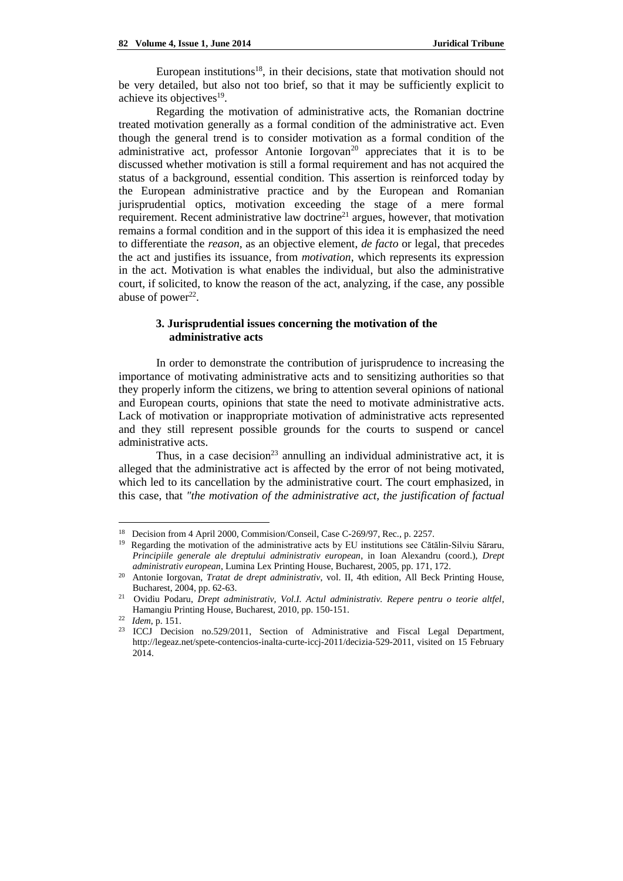European institutions<sup>18</sup>, in their decisions, state that motivation should not be very detailed, but also not too brief, so that it may be sufficiently explicit to achieve its objectives<sup>19</sup>.

Regarding the motivation of administrative acts, the Romanian doctrine treated motivation generally as a formal condition of the administrative act. Even though the general trend is to consider motivation as a formal condition of the administrative act, professor Antonie Iorgovan<sup>20</sup> appreciates that it is to be discussed whether motivation is still a formal requirement and has not acquired the status of a background, essential condition. This assertion is reinforced today by the European administrative practice and by the European and Romanian jurisprudential optics, motivation exceeding the stage of a mere formal requirement. Recent administrative law doctrine<sup>21</sup> argues, however, that motivation remains a formal condition and in the support of this idea it is emphasized the need to differentiate the *reason,* as an objective element, *de facto* or legal, that precedes the act and justifies its issuance, from *motivation*, which represents its expression in the act. Motivation is what enables the individual, but also the administrative court, if solicited, to know the reason of the act, analyzing, if the case, any possible abuse of power $22$ .

# **3. Jurisprudential issues concerning the motivation of the administrative acts**

In order to demonstrate the contribution of jurisprudence to increasing the importance of motivating administrative acts and to sensitizing authorities so that they properly inform the citizens, we bring to attention several opinions of national and European courts, opinions that state the need to motivate administrative acts. Lack of motivation or inappropriate motivation of administrative acts represented and they still represent possible grounds for the courts to suspend or cancel administrative acts.

Thus, in a case decision<sup>23</sup> annulling an individual administrative act, it is alleged that the administrative act is affected by the error of not being motivated, which led to its cancellation by the administrative court. The court emphasized, in this case, that *"the motivation of the administrative act, the justification of factual* 

<sup>&</sup>lt;sup>18</sup> Decision from 4 April 2000, Commision/Conseil, Case C-269/97, Rec., p. 2257.

<sup>&</sup>lt;sup>19</sup> Regarding the motivation of the administrative acts by EU institutions see Cătălin-Silviu Săraru, *Principiile generale ale dreptului administrativ european*, in Ioan Alexandru (coord.), *Drept administrativ european*, Lumina Lex Printing House, Bucharest, 2005, pp. 171, 172.

<sup>20</sup> Antonie Iorgovan, *Tratat de drept administrativ*, vol. II, 4th edition, All Beck Printing House, Bucharest, 2004, pp. 62-63.

<sup>21</sup> Ovidiu Podaru, *Drept administrativ, Vol.I. Actul administrativ. Repere pentru o teorie altfel*, Hamangiu Printing House, Bucharest, 2010, pp. 150-151.

<sup>22</sup> *Idem*, p. 151.

<sup>23</sup> ICCJ Decision no.529/2011, Section of Administrative and Fiscal Legal Department, [http://legeaz.net/spete-contencios-inalta-curte-iccj-2011/decizia-529-2011,](http://legeaz.net/spete-contencios-inalta-curte-iccj-2011/decizia-529-2011) visited on 15 February 2014.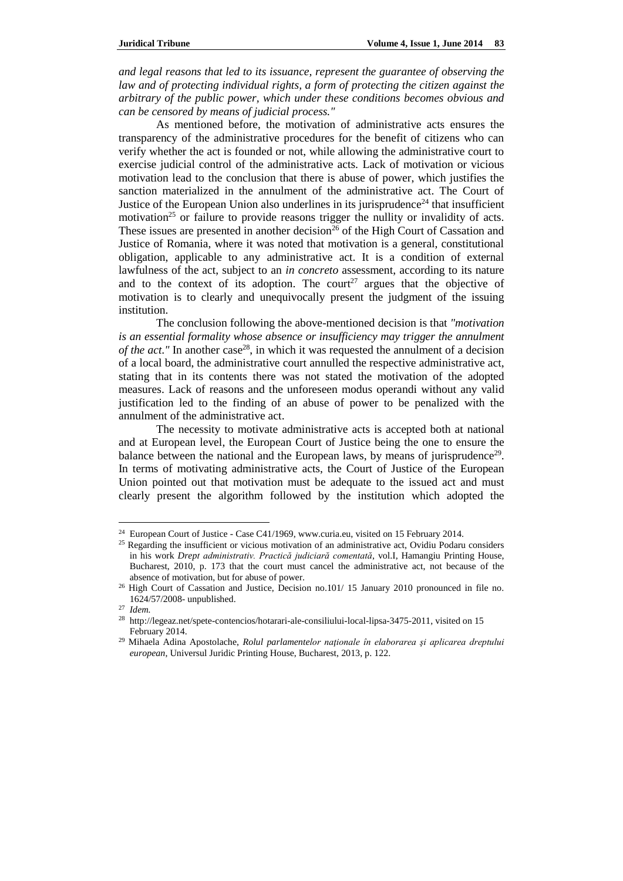*and legal reasons that led to its issuance, represent the guarantee of observing the law and of protecting individual rights, a form of protecting the citizen against the arbitrary of the public power, which under these conditions becomes obvious and can be censored by means of judicial process."*

As mentioned before, the motivation of administrative acts ensures the transparency of the administrative procedures for the benefit of citizens who can verify whether the act is founded or not, while allowing the administrative court to exercise judicial control of the administrative acts. Lack of motivation or vicious motivation lead to the conclusion that there is abuse of power, which justifies the sanction materialized in the annulment of the administrative act. The Court of Justice of the European Union also underlines in its jurisprudence<sup>24</sup> that insufficient motivation<sup>25</sup> or failure to provide reasons trigger the nullity or invalidity of acts. These issues are presented in another decision<sup>26</sup> of the High Court of Cassation and Justice of Romania, where it was noted that motivation is a general, constitutional obligation, applicable to any administrative act. It is a condition of external lawfulness of the act, subject to an *in concreto* assessment, according to its nature and to the context of its adoption. The court<sup>27</sup> argues that the objective of motivation is to clearly and unequivocally present the judgment of the issuing institution.

The conclusion following the above-mentioned decision is that *"motivation is an essential formality whose absence or insufficiency may trigger the annulment* of the act." In another case<sup>28</sup>, in which it was requested the annulment of a decision of a local board, the administrative court annulled the respective administrative act, stating that in its contents there was not stated the motivation of the adopted measures. Lack of reasons and the unforeseen modus operandi without any valid justification led to the finding of an abuse of power to be penalized with the annulment of the administrative act.

The necessity to motivate administrative acts is accepted both at national and at European level, the European Court of Justice being the one to ensure the balance between the national and the European laws, by means of jurisprudence<sup>29</sup>. In terms of motivating administrative acts, the Court of Justice of the European Union pointed out that motivation must be adequate to the issued act and must clearly present the algorithm followed by the institution which adopted the

<sup>&</sup>lt;sup>24</sup> European Court of Justice - Case C41/1969, www.curia.eu, visited on 15 February 2014.

<sup>&</sup>lt;sup>25</sup> Regarding the insufficient or vicious motivation of an administrative act, Ovidiu Podaru considers in his work *Drept administrativ. Practică judiciară comentată*, vol.I, Hamangiu Printing House, Bucharest, 2010, p. 173 that the court must cancel the administrative act, not because of the absence of motivation, but for abuse of power.

<sup>26</sup> High Court of Cassation and Justice, Decision no.101/ 15 January 2010 pronounced in file no. 1624/57/2008- unpublished.

<sup>27</sup> *Idem.*

<sup>28</sup> http://legeaz.net/spete-contencios/hotarari-ale-consiliului-local-lipsa-3475-2011, visited on 15 February 2014.

<sup>29</sup> Mihaela Adina Apostolache, *Rolul parlamentelor naţionale în elaborarea şi aplicarea dreptului european*, Universul Juridic Printing House, Bucharest, 2013, p. 122.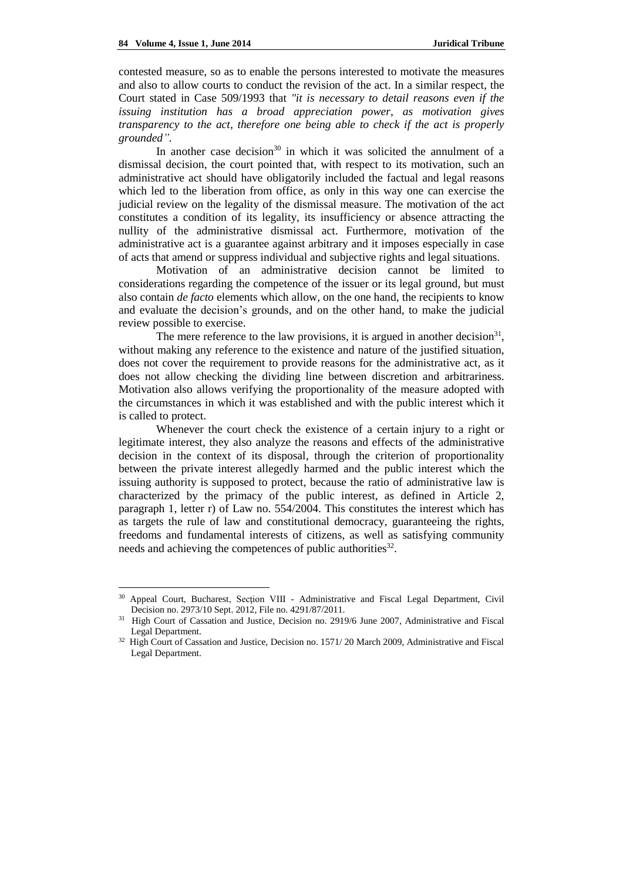$\overline{a}$ 

contested measure, so as to enable the persons interested to motivate the measures and also to allow courts to conduct the revision of the act. In a similar respect, the Court stated in Case 509/1993 that *"it is necessary to detail reasons even if the issuing institution has a broad appreciation power, as motivation gives transparency to the act, therefore one being able to check if the act is properly grounded".*

In another case decision<sup>30</sup> in which it was solicited the annulment of a dismissal decision, the court pointed that, with respect to its motivation, such an administrative act should have obligatorily included the factual and legal reasons which led to the liberation from office, as only in this way one can exercise the judicial review on the legality of the dismissal measure. The motivation of the act constitutes a condition of its legality, its insufficiency or absence attracting the nullity of the administrative dismissal act. Furthermore, motivation of the administrative act is a guarantee against arbitrary and it imposes especially in case of acts that amend or suppress individual and subjective rights and legal situations.

Motivation of an administrative decision cannot be limited to considerations regarding the competence of the issuer or its legal ground, but must also contain *de facto* elements which allow, on the one hand, the recipients to know and evaluate the decision's grounds, and on the other hand, to make the judicial review possible to exercise.

The mere reference to the law provisions, it is argued in another decision<sup>31</sup>, without making any reference to the existence and nature of the justified situation, does not cover the requirement to provide reasons for the administrative act, as it does not allow checking the dividing line between discretion and arbitrariness. Motivation also allows verifying the proportionality of the measure adopted with the circumstances in which it was established and with the public interest which it is called to protect.

Whenever the court check the existence of a certain injury to a right or legitimate interest, they also analyze the reasons and effects of the administrative decision in the context of its disposal, through the criterion of proportionality between the private interest allegedly harmed and the public interest which the issuing authority is supposed to protect, because the ratio of administrative law is characterized by the primacy of the public interest, as defined in Article 2, paragraph 1, letter r) of Law no. 554/2004. This constitutes the interest which has as targets the rule of law and constitutional democracy, guaranteeing the rights, freedoms and fundamental interests of citizens, as well as satisfying community needs and achieving the competences of public authorities<sup>32</sup>.

<sup>&</sup>lt;sup>30</sup> Appeal Court, Bucharest, Section VIII - Administrative and Fiscal Legal Department, Civil Decision no. 2973/10 Sept. 2012, File no. 4291/87/2011.

<sup>&</sup>lt;sup>31</sup> High Court of Cassation and Justice, Decision no. 2919/6 June 2007, Administrative and Fiscal Legal Department.

<sup>&</sup>lt;sup>32</sup> High Court of Cassation and Justice, Decision no. 1571/20 March 2009, Administrative and Fiscal Legal Department.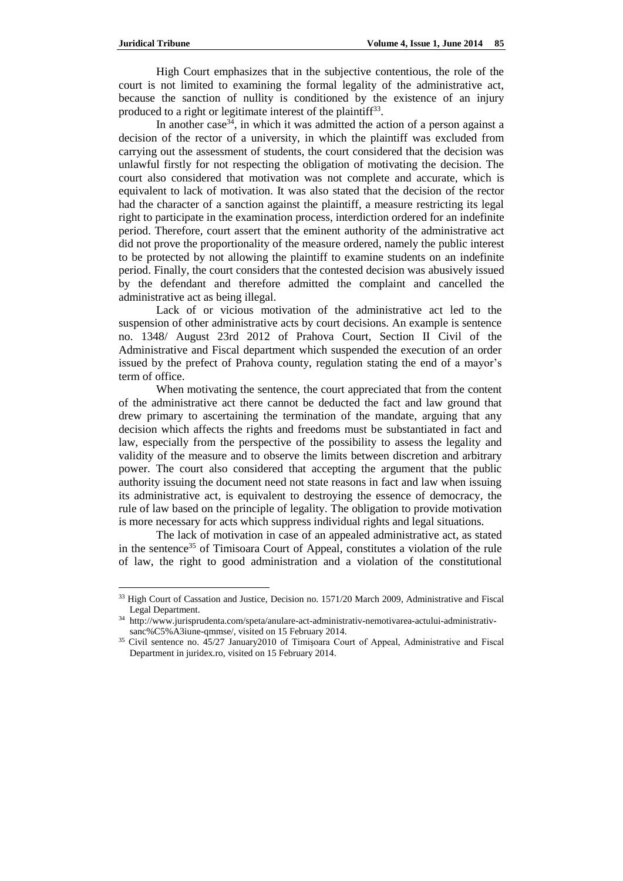$\overline{a}$ 

High Court emphasizes that in the subjective contentious, the role of the court is not limited to examining the formal legality of the administrative act, because the sanction of nullity is conditioned by the existence of an injury produced to a right or legitimate interest of the plaintiff<sup>33</sup>.

In another case<sup>34</sup>, in which it was admitted the action of a person against a decision of the rector of a university, in which the plaintiff was excluded from carrying out the assessment of students, the court considered that the decision was unlawful firstly for not respecting the obligation of motivating the decision. The court also considered that motivation was not complete and accurate, which is equivalent to lack of motivation. It was also stated that the decision of the rector had the character of a sanction against the plaintiff, a measure restricting its legal right to participate in the examination process, interdiction ordered for an indefinite period. Therefore, court assert that the eminent authority of the administrative act did not prove the proportionality of the measure ordered, namely the public interest to be protected by not allowing the plaintiff to examine students on an indefinite period. Finally, the court considers that the contested decision was abusively issued by the defendant and therefore admitted the complaint and cancelled the administrative act as being illegal.

Lack of or vicious motivation of the administrative act led to the suspension of other administrative acts by court decisions. An example is sentence no. 1348/ August 23rd 2012 of Prahova Court, Section II Civil of the Administrative and Fiscal department which suspended the execution of an order issued by the prefect of Prahova county, regulation stating the end of a mayor's term of office.

When motivating the sentence, the court appreciated that from the content of the administrative act there cannot be deducted the fact and law ground that drew primary to ascertaining the termination of the mandate, arguing that any decision which affects the rights and freedoms must be substantiated in fact and law, especially from the perspective of the possibility to assess the legality and validity of the measure and to observe the limits between discretion and arbitrary power. The court also considered that accepting the argument that the public authority issuing the document need not state reasons in fact and law when issuing its administrative act, is equivalent to destroying the essence of democracy, the rule of law based on the principle of legality. The obligation to provide motivation is more necessary for acts which suppress individual rights and legal situations.

The lack of motivation in case of an appealed administrative act, as stated in the sentence<sup>35</sup> of Timisoara Court of Appeal, constitutes a violation of the rule of law, the right to good administration and a violation of the constitutional

<sup>&</sup>lt;sup>33</sup> High Court of Cassation and Justice, Decision no. 1571/20 March 2009, Administrative and Fiscal Legal Department.

<sup>34</sup> [http://www.jurisprudenta.com/speta/anulare-act-administrativ-nemotivarea-actului-administrativ](http://www.jurisprudenta.com/speta/anulare-act-administrativ-nemotivarea-actului-administrativ-sanc%C5%A3iune-qmmse/)[sanc%C5%A3iune-qmmse/,](http://www.jurisprudenta.com/speta/anulare-act-administrativ-nemotivarea-actului-administrativ-sanc%C5%A3iune-qmmse/) visited on 15 February 2014.

<sup>35</sup> Civil sentence no. 45/27 January2010 of Timişoara Court of Appeal, Administrative and Fiscal Department in juridex.ro, visited on 15 February 2014.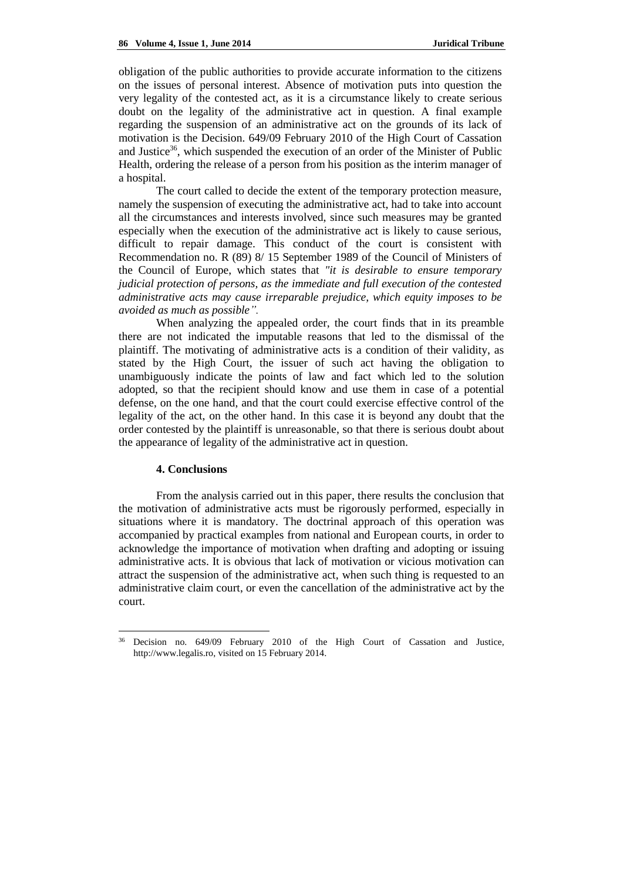obligation of the public authorities to provide accurate information to the citizens on the issues of personal interest. Absence of motivation puts into question the very legality of the contested act, as it is a circumstance likely to create serious doubt on the legality of the administrative act in question. A final example regarding the suspension of an administrative act on the grounds of its lack of motivation is the Decision. 649/09 February 2010 of the High Court of Cassation and Justice<sup>36</sup>, which suspended the execution of an order of the Minister of Public Health, ordering the release of a person from his position as the interim manager of a hospital.

The court called to decide the extent of the temporary protection measure, namely the suspension of executing the administrative act, had to take into account all the circumstances and interests involved, since such measures may be granted especially when the execution of the administrative act is likely to cause serious, difficult to repair damage. This conduct of the court is consistent with Recommendation no. R (89) 8/ 15 September 1989 of the Council of Ministers of the Council of Europe, which states that *"it is desirable to ensure temporary judicial protection of persons, as the immediate and full execution of the contested administrative acts may cause irreparable prejudice, which equity imposes to be avoided as much as possible".*

When analyzing the appealed order, the court finds that in its preamble there are not indicated the imputable reasons that led to the dismissal of the plaintiff. The motivating of administrative acts is a condition of their validity, as stated by the High Court, the issuer of such act having the obligation to unambiguously indicate the points of law and fact which led to the solution adopted, so that the recipient should know and use them in case of a potential defense, on the one hand, and that the court could exercise effective control of the legality of the act, on the other hand. In this case it is beyond any doubt that the order contested by the plaintiff is unreasonable, so that there is serious doubt about the appearance of legality of the administrative act in question.

## **4. Conclusions**

 $\overline{a}$ 

From the analysis carried out in this paper, there results the conclusion that the motivation of administrative acts must be rigorously performed, especially in situations where it is mandatory. The doctrinal approach of this operation was accompanied by practical examples from national and European courts, in order to acknowledge the importance of motivation when drafting and adopting or issuing administrative acts. It is obvious that lack of motivation or vicious motivation can attract the suspension of the administrative act, when such thing is requested to an administrative claim court, or even the cancellation of the administrative act by the court.

Decision no. 649/09 February 2010 of the High Court of Cassation and Justice, http://www.legalis.ro, visited on 15 February 2014.